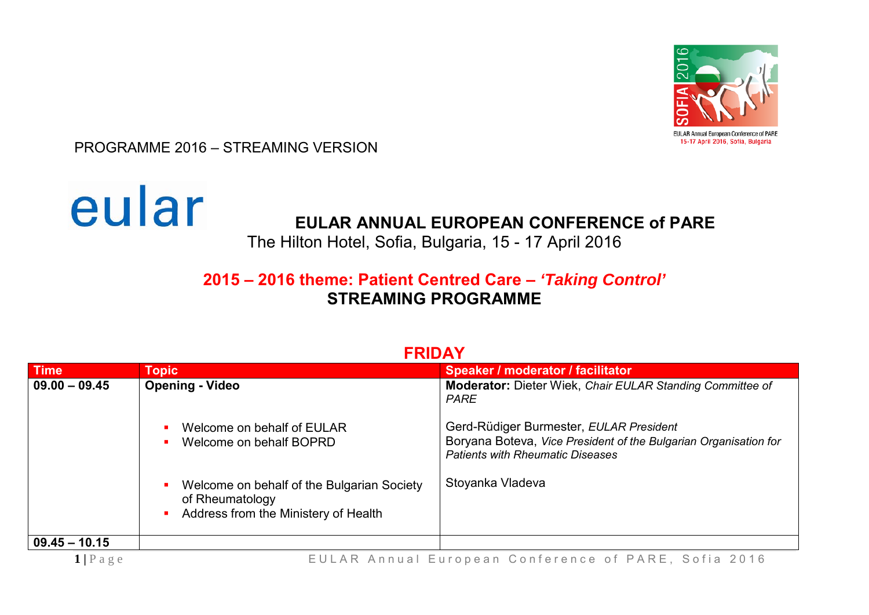

PROGRAMME 2016 – STREAMING VERSION



## **EULAR ANNUAL EUROPEAN CONFERENCE of PARE**

The Hilton Hotel, Sofia, Bulgaria, 15 - 17 April 2016

## **2015 – 2016 theme: Patient Centred Care –** *'Taking Control'* **STREAMING PROGRAMME**

| <b>Time</b>                | <b>Topic</b>                                                                                                            | Speaker / moderator / facilitator                                                                                                                      |
|----------------------------|-------------------------------------------------------------------------------------------------------------------------|--------------------------------------------------------------------------------------------------------------------------------------------------------|
| $09.00 - 09.45$            | <b>Opening - Video</b>                                                                                                  | <b>Moderator:</b> Dieter Wiek, Chair EULAR Standing Committee of<br><b>PARE</b>                                                                        |
|                            | Welcome on behalf of EULAR<br>п<br>Welcome on behalf BOPRD<br>$\blacksquare$                                            | Gerd-Rüdiger Burmester, EULAR President<br>Boryana Boteva, Vice President of the Bulgarian Organisation for<br><b>Patients with Rheumatic Diseases</b> |
|                            | Welcome on behalf of the Bulgarian Society<br>of Rheumatology<br>Address from the Ministery of Health<br>$\blacksquare$ | Stoyanka Vladeva                                                                                                                                       |
| $09.45 - 10.15$            |                                                                                                                         |                                                                                                                                                        |
| $1 \, \, P \, a \, g \, e$ | EULAR Annual European Conference of PARE, Sofia 2016                                                                    |                                                                                                                                                        |

## **FRIDAY**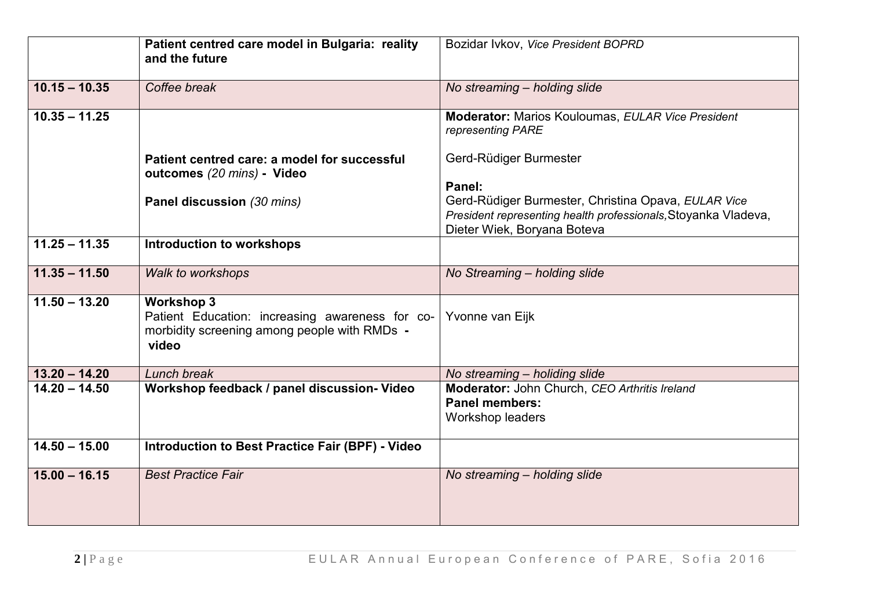|                 | Patient centred care model in Bulgaria: reality<br>and the future                                                             | Bozidar Ivkov, Vice President BOPRD                                                                                                                            |
|-----------------|-------------------------------------------------------------------------------------------------------------------------------|----------------------------------------------------------------------------------------------------------------------------------------------------------------|
| $10.15 - 10.35$ | Coffee break                                                                                                                  | No streaming - holding slide                                                                                                                                   |
| $10.35 - 11.25$ |                                                                                                                               | Moderator: Marios Kouloumas, EULAR Vice President<br>representing PARE                                                                                         |
|                 | Patient centred care: a model for successful<br>outcomes (20 mins) - Video                                                    | Gerd-Rüdiger Burmester                                                                                                                                         |
|                 | Panel discussion (30 mins)                                                                                                    | Panel:<br>Gerd-Rüdiger Burmester, Christina Opava, EULAR Vice<br>President representing health professionals, Stoyanka Vladeva,<br>Dieter Wiek, Boryana Boteva |
| $11.25 - 11.35$ | <b>Introduction to workshops</b>                                                                                              |                                                                                                                                                                |
| $11.35 - 11.50$ | <b>Walk to workshops</b>                                                                                                      | No Streaming - holding slide                                                                                                                                   |
| $11.50 - 13.20$ | <b>Workshop 3</b><br>Patient Education: increasing awareness for co-<br>morbidity screening among people with RMDs -<br>video | Yvonne van Eijk                                                                                                                                                |
| $13.20 - 14.20$ | Lunch break                                                                                                                   | No streaming - holiding slide                                                                                                                                  |
| $14.20 - 14.50$ | Workshop feedback / panel discussion- Video                                                                                   | Moderator: John Church, CEO Arthritis Ireland<br><b>Panel members:</b><br>Workshop leaders                                                                     |
| $14.50 - 15.00$ | Introduction to Best Practice Fair (BPF) - Video                                                                              |                                                                                                                                                                |
| $15.00 - 16.15$ | <b>Best Practice Fair</b>                                                                                                     | No streaming - holding slide                                                                                                                                   |